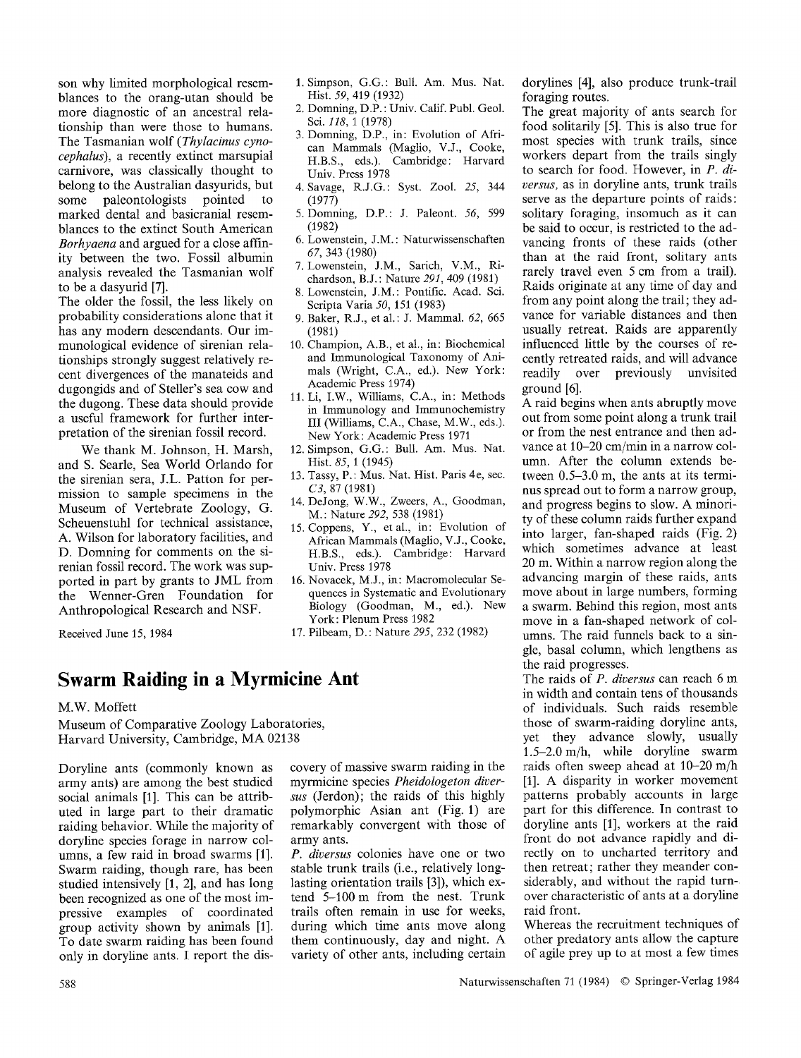son why limited morphological resemblances to the orang-utan should be more diagnostic of an ancestral relationship than were those to humans. The Tasmanian wolf *(Thylacinus cynocephalus),* a recently extinct marsupial carnivore, was classically thought to belong to the Australian dasyurids, but some paleontologists pointed to marked dental and basicranial resemblances to the extinct South American *Borhyaena* and argued for a close affinity between the two. Fossil albumin analysis revealed the Tasmanian wolf to be a dasyurid [7].

The older the fossil, the less likely on probability considerations alone that it has any modern descendants. Our immunological evidence of sirenian relationships strongly suggest relatively recent divergences of the manateids and dugongids and of Steller's sea cow and the dugong. These data should provide a useful framework for further interpretation of the sirenian fossil record.

We thank M. Johnson, H. Marsh, and S. Searle, Sea World Orlando for the sirenian sera, J.L. Patton for permission to sample specimens in the Museum of Vertebrate Zoology, G. Scheuenstuhl for technical assistance, A. Wilson for laboratory facilities, and D. Domning for comments on the sirenian fossil record. The work was supported in part by grants to JML from the Wenner-Gren Foundation for Anthropological Research and NSF.

- 1. Simpson, G.G.: Bull. Am. Mus. Nat. Hist. *59,* 419 (1932)
- 2. Domning, D.P. : Univ. Calif. Publ. Geol. Sci. *118,* 1 (1978)
- 3. Domning, D.P., in: Evolution of African Mammals (Maglio, V.J., Cooke, H.B.S., eds.). Cambridge: Harvard Univ. Press 1978
- 4. Savage, R.J.G.: Syst. Zool. *25,* 344 (1977)
- 5. Domning, D.P.: J. Paleont. *56,* 599 (1982)
- 6. Lowenstein, J.M. : Naturwissenschaften *67,* 343 (1980)
- 7. Lowenstein, J.M., Sarich, V.M., Richardson, B.J.: Nature *29I,* 409 (1981)
- 8. Lowenstein, J.M.: Pontific. Acad. Sci. Scripta Varia *50,* 151 (1983)
- 9. Baker, R.J., et al.: J. Mammal. *62,* 665 (1981)
- 10. Champion, A.B., et al., in: Biochemical and Immunological Taxonomy of Animals (Wright, C.A., ed.). New York: Academic Press 1974)
- 11. Li, I.W., Williams, C.A., in: Methods in Immunology and Immunochemistry III (Williams, C.A., Chase, M.W., eds.). New York: Academic Press 1971
- 12. Simpson, G.G.: Bull. Am. Mus. Nat. Hist. *85,* 1 (1945)
- 13. Tassy, P.: Mus. Nat. Hist. Paris 4e, sec. *C3,* 87 (1981)
- 14. DeJong, W.W., Zweers, A., Goodman, M. : Nature *292,* 538 (1981)
- 15. Coppens, Y., etal., in: Evolution of African Mammals (Maglio, V.J., Cooke, H.B.S., eds.). Cambridge: Harvard Univ. Press 1978
- 16. Novacek, M.J., in: Macromolecular Sequences in Systematic and Evolutionary Biology (Goodman, M., ed.). New York: Plenum Press 1982
- 17. Pilbeam, D. : Nature *295,* 232 (1982)

Received June 15, 1984

## **Swarm Raiding in a Myrmicine Ant**

M.W. Moffett

Museum of Comparative Zoology Laboratories, Harvard University, Cambridge, MA 02138

Doryline ants (commonly known as army ants) are among the best studied social animals [1]. This can be attributed in large part to their dramatic raiding behavior. While the majority of doryline species forage in narrow columns, a few raid in broad swarms [1]. Swarm raiding, though rare, has been studied intensively [1, 2], and has long been recognized as one of the most impressive examples of coordinated group activity shown by animals [1]. To date swarm raiding has been found only in doryline ants. I report the discovery of massive swarm raiding in the myrmicine species *Pheidologeton diversus* (Jerdon); the raids of this highly polymorphic Asian ant (Fig. 1) are remarkably convergent with those of army ants.

*P. diversus* colonies have one or two stable trunk trails (i.e., relatively longlasting orientation trails [3]), which extend 5-100m from the nest. Trunk trails often remain in use for weeks, during which time ants move along them continuously, day and night. A variety of other ants, including certain dorylines [4], also produce trunk-trail foraging routes.

The great majority of ants search for food solitarily [5]. This is also true for most species with trunk trails, since workers depart from the trails singly to search for food. However, in *P. diversus,* as in doryline ants, trunk trails serve as the departure points of raids: solitary foraging, insomuch as it can be said to occur, is restricted to the advancing fronts of these raids (other than at the raid front, solitary ants rarely travel even 5 cm from a trail). Raids originate at any time of day and from any point along the trail; they advance for variable distances and then usually retreat. Raids are apparently influenced little by the courses of recently retreated raids, and will advance readily over previously unvisited ground [6].

A raid begins when ants abruptly move out from some point along a trunk trail or from the nest entrance and then advance at 10-20 cm/min in a narrow column. After the column extends between 0.5-3.0 m, the ants at its terminus spread out to form a narrow group, and progress begins to slow. A minority of these column raids further expand into larger, fan-shaped raids (Fig. 2) which sometimes advance at least 20 m. Within a narrow region along the advancing margin of these raids, ants move about in large numbers, forming a swarm. Behind this region, most ants move in a fan-shaped network of columns. The raid funnels back to a single, basal column, which lengthens as the raid progresses.

The raids of *P. diversus* can reach 6 m in width and contain tens of thousands of individuals. Such raids resemble those of swarm-raiding doryline ants, yet they advance slowly, usually 1.5-2.0m/h, while doryline swarm raids often sweep ahead at 10-20 m/h [1]. A disparity in worker movement patterns probably accounts in large part for this difference. In contrast to doryline ants [1], workers at the raid front do not advance rapidly and directly on to uncharted territory and then retreat; rather they meander considerably, and without the rapid turnover characteristic of ants at a doryline raid front.

Whereas the recruitment techniques of other predatory ants allow the capture of agile prey up to at most a few times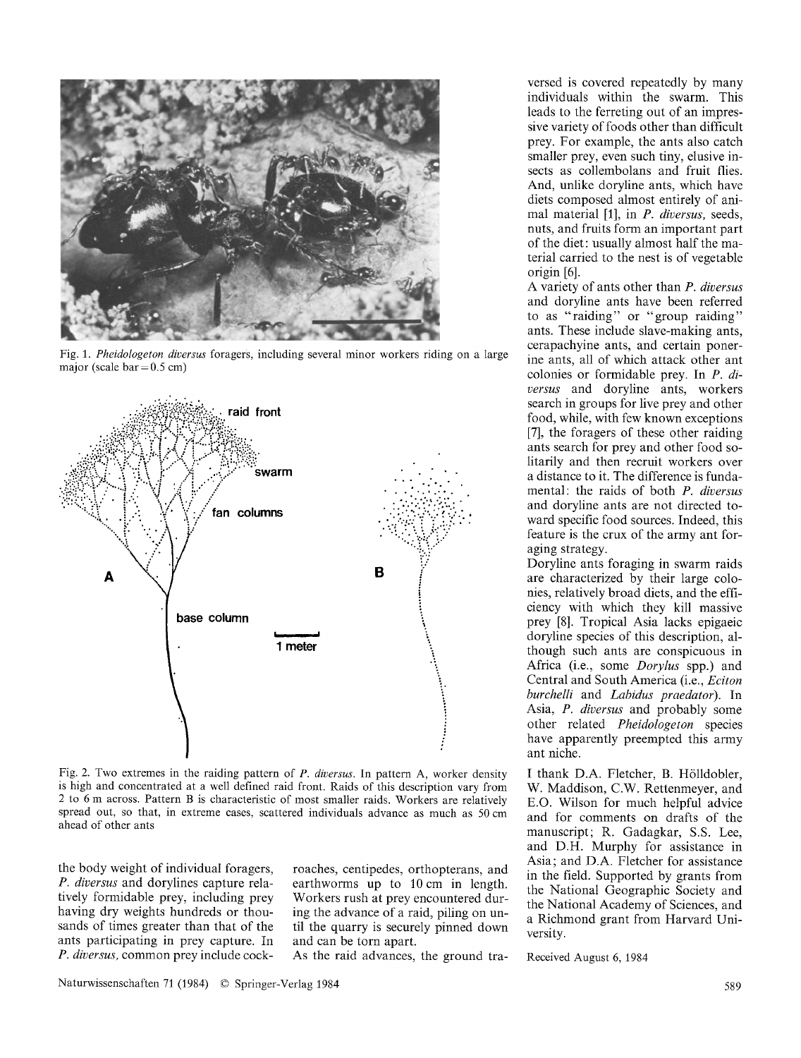

Fig. 1. Pheidologeton diversus foragers, including several minor workers riding on a large major (scale  $bar = 0.5$  cm)



Fig. 2. Two extremes in the raiding pattern of P. diversus. In pattern A, worker density is high and concentrated at a well defined raid front. Raids of this description vary from 2 to 6 m across. Pattern B is characteristic of most smaller raids. Workers are relatively spread out, so that, in extreme cases, scattered individuals advance as much as 50 cm ahead of other ants

the body weight of individual foragers. P. diversus and dorvlines capture relatively formidable prey, including prey having dry weights hundreds or thousands of times greater than that of the ants participating in prey capture. In P. diversus, common prey include cockroaches, centipedes, orthopterans, and earthworms up to 10 cm in length. Workers rush at prey encountered during the advance of a raid, piling on until the quarry is securely pinned down and can be torn apart.

As the raid advances, the ground tra-

versed is covered repeatedly by many individuals within the swarm. This leads to the ferreting out of an impressive variety of foods other than difficult prev. For example, the ants also catch smaller prev, even such tiny, elusive insects as collembolans and fruit flies. And, unlike doryline ants, which have diets composed almost entirely of animal material [1], in P. diversus, seeds, nuts, and fruits form an important part of the diet: usually almost half the material carried to the nest is of vegetable origin [6].

A variety of ants other than P. diversus and doryline ants have been referred to as "raiding" or "group raiding" ants. These include slave-making ants, cerapachyine ants, and certain ponerine ants, all of which attack other ant colonies or formidable prev. In  $P$ , diversus and doryline ants, workers search in groups for live prey and other food, while, with few known exceptions [7], the foragers of these other raiding ants search for prey and other food solitarily and then recruit workers over a distance to it. The difference is fundamental: the raids of both P. diversus and doryline ants are not directed toward specific food sources. Indeed, this feature is the crux of the army ant foraging strategy.

Doryline ants foraging in swarm raids are characterized by their large colonies, relatively broad diets, and the efficiency with which they kill massive prey [8]. Tropical Asia lacks epigaeic doryline species of this description, although such ants are conspicuous in Africa (i.e., some *Dorylus* spp.) and Central and South America (i.e., Eciton burchelli and Labidus praedator). In Asia, P. diversus and probably some other related Pheidologeton species have apparently preempted this army ant niche.

I thank D.A. Fletcher, B. Hölldobler, W. Maddison, C.W. Rettenmeyer, and E.O. Wilson for much helpful advice and for comments on drafts of the manuscript; R. Gadagkar, S.S. Lee. and D.H. Murphy for assistance in Asia; and D.A. Fletcher for assistance in the field. Supported by grants from the National Geographic Society and the National Academy of Sciences, and a Richmond grant from Harvard University.

Received August 6, 1984